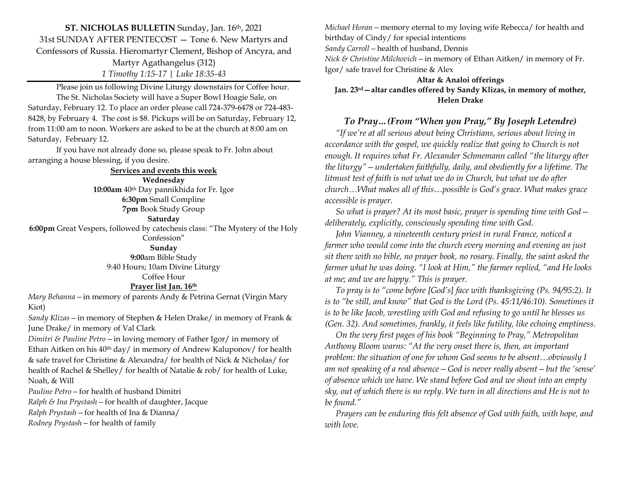**ST. NICHOLAS BULLETIN** Sunday, Jan. 16th, 2021 31st SUNDAY AFTER PENTECOST — Tone 6. New Martyrs and Confessors of Russia. Hieromartyr Clement, Bishop of Ancyra, and Martyr Agathangelus (312) *1 Timothy 1:15-17 | Luke 18:35-43*

Please join us following Divine Liturgy downstairs for Coffee hour. The St. Nicholas Society will have a Super Bowl Hoagie Sale, on Saturday, February 12. To place an order please call 724-379-6478 or 724-483- 8428, by February 4. The cost is \$8. Pickups will be on Saturday, February 12, from 11:00 am to noon. Workers are asked to be at the church at 8:00 am on Saturday, February 12.

If you have not already done so, please speak to Fr. John about arranging a house blessing, if you desire.

### **Services and events this week Wednesday 10:00am** 40th Day pannikhida for Fr. Igor **6:30pm** Small Compline **7pm** Book Study Group **Saturday 6:00pm** Great Vespers, followed by catechesis class: "The Mystery of the Holy Confession" **Sunday 9:00**am Bible Study 9:40 Hours; 10am Divine Liturgy Coffee Hour

#### **Prayer list Jan. 16th**

*Mary Behanna—*in memory of parents Andy & Petrina Gernat (Virgin Mary Kiot)

*Sandy Klizas—*in memory of Stephen & Helen Drake/ in memory of Frank & June Drake/ in memory of Val Clark

*Dimitri & Pauline Petro—*in loving memory of Father Igor/ in memory of Ethan Aitken on his 40<sup>th</sup> day/ in memory of Andrew Kaluponov/ for health & safe travel for Christine & Alexandra/ for health of Nick & Nicholas/ for health of Rachel & Shelley/ for health of Natalie & rob/ for health of Luke, Noah, & Will

*Pauline Petro—*for health of husband Dimitri *Ralph & Ina Prystash—*for health of daughter, Jacque

*Ralph Prystash—*for health of Ina & Dianna/

*Rodney Prystash—*for health of family

*Michael Horan—*memory eternal to my loving wife Rebecca/ for health and birthday of Cindy/ for special intentions *Sandy Carroll—*health of husband, Dennis

*Nick & Christine Milchovich—*in memory of Ethan Aitken/ in memory of Fr. Igor/ safe travel for Christine & Alex

**Altar & Analoi offerings Jan. 23rd—altar candles offered by Sandy Klizas, in memory of mother, Helen Drake**

# *To Pray…(From "When you Pray," By Joseph Letendre)*

 *"If we're at all serious about being Christians, serious about living in accordance with the gospel, we quickly realize that going to Church is not enough. It requires what Fr. Alexander Schmemann called "the liturgy after the liturgy"—undertaken faithfully, daily, and obediently for a lifetime. The litmust test of faith is not what we do in Church, but what we do after church…What makes all of this…possible is God's grace. What makes grace accessible is prayer.* 

 *So what is prayer? At its most basic, prayer is spending time with God deliberately, explicitly, consciously spending time with God.* 

 *John Vianney, a nineteenth century priest in rural France, noticed a farmer who would come into the church every morning and evening an just sit there with no bible, no prayer book, no rosary. Finally, the saint asked the farmer what he was doing. "I look at Him," the farmer replied, "and He looks at me; and we are happy." This is prayer.* 

 *To pray is to "come before [God's] face with thanksgiving (Ps. 94/95:2). It is to "be still, and know" that God is the Lord (Ps. 45:11/46:10). Sometimes it is to be like Jacob, wrestling with God and refusing to go until he blesses us (Gen. 32). And sometimes, frankly, it feels like futility, like echoing emptiness.* 

 *On the very first pages of his book "Beginning to Pray," Metropolitan Anthony Bloom warns: "At the very onset there is, then, an important problem: the situation of one for whom God seems to be absent…obviously I am not speaking of a real absence—God is never really absent—but the 'sense' of absence which we have. We stand before God and we shout into an empty sky, out of which there is no reply. We turn in all directions and He is not to be found."*

 *Prayers can be enduring this felt absence of God with faith, with hope, and with love.*